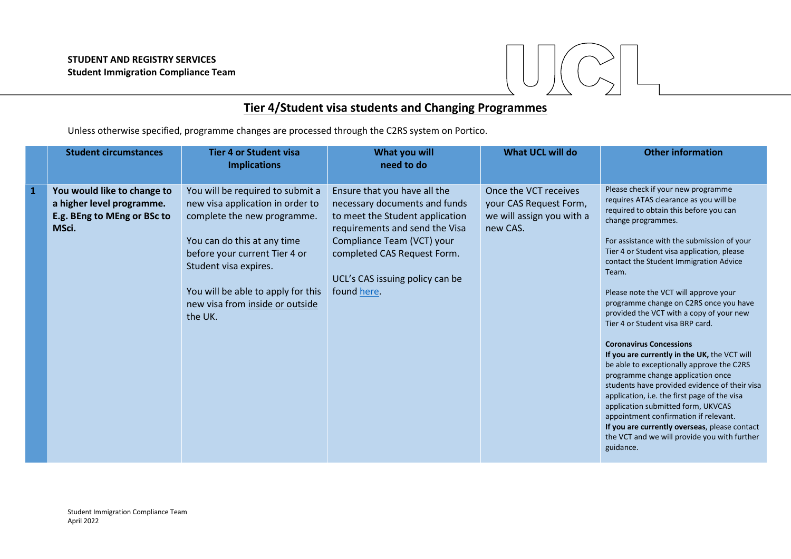

## Tier 4/Student visa students and Changing Programmes

Unless otherwise specified, programme changes are processed through the C2RS system on Portico.

|              | <b>Student circumstances</b>                                                                     | <b>Tier 4 or Student visa</b><br><b>Implications</b>                                                                                                                                                                                                                             | What you will<br>need to do                                                                                                                                                                                                                       | <b>What UCL will do</b>                                                                  | <b>Other information</b>                                                                                                                                                                                                                                                                                                                                                                                                                                                                                                                                                                                                                                                                                                                                                                                                                                                                                                         |
|--------------|--------------------------------------------------------------------------------------------------|----------------------------------------------------------------------------------------------------------------------------------------------------------------------------------------------------------------------------------------------------------------------------------|---------------------------------------------------------------------------------------------------------------------------------------------------------------------------------------------------------------------------------------------------|------------------------------------------------------------------------------------------|----------------------------------------------------------------------------------------------------------------------------------------------------------------------------------------------------------------------------------------------------------------------------------------------------------------------------------------------------------------------------------------------------------------------------------------------------------------------------------------------------------------------------------------------------------------------------------------------------------------------------------------------------------------------------------------------------------------------------------------------------------------------------------------------------------------------------------------------------------------------------------------------------------------------------------|
| $\mathbf{1}$ | You would like to change to<br>a higher level programme.<br>E.g. BEng to MEng or BSc to<br>MSci. | You will be required to submit a<br>new visa application in order to<br>complete the new programme.<br>You can do this at any time<br>before your current Tier 4 or<br>Student visa expires.<br>You will be able to apply for this<br>new visa from inside or outside<br>the UK. | Ensure that you have all the<br>necessary documents and funds<br>to meet the Student application<br>requirements and send the Visa<br>Compliance Team (VCT) your<br>completed CAS Request Form.<br>UCL's CAS issuing policy can be<br>found here. | Once the VCT receives<br>your CAS Request Form,<br>we will assign you with a<br>new CAS. | Please check if your new programme<br>requires ATAS clearance as you will be<br>required to obtain this before you can<br>change programmes.<br>For assistance with the submission of your<br>Tier 4 or Student visa application, please<br>contact the Student Immigration Advice<br>Team.<br>Please note the VCT will approve your<br>programme change on C2RS once you have<br>provided the VCT with a copy of your new<br>Tier 4 or Student visa BRP card.<br><b>Coronavirus Concessions</b><br>If you are currently in the UK, the VCT will<br>be able to exceptionally approve the C2RS<br>programme change application once<br>students have provided evidence of their visa<br>application, i.e. the first page of the visa<br>application submitted form, UKVCAS<br>appointment confirmation if relevant.<br>If you are currently overseas, please contact<br>the VCT and we will provide you with further<br>guidance. |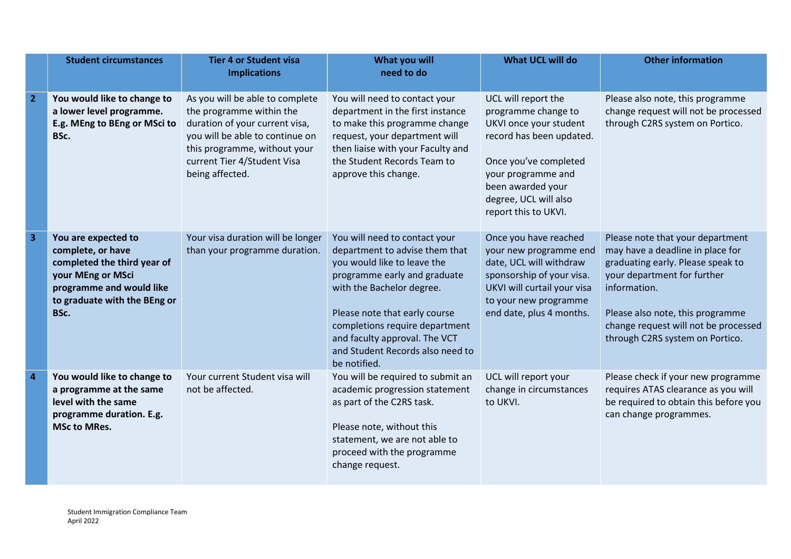|                         | <b>Student circumstances</b>                                                                                                                                     | <b>Tier 4 or Student visa</b><br><b>Implications</b>                                                                                                                                                               | What you will<br>need to do                                                                                                                                                                                                                                                                                         | <b>What UCL will do</b>                                                                                                                                                                                               | <b>Other information</b>                                                                                                                                                                                                                                                |
|-------------------------|------------------------------------------------------------------------------------------------------------------------------------------------------------------|--------------------------------------------------------------------------------------------------------------------------------------------------------------------------------------------------------------------|---------------------------------------------------------------------------------------------------------------------------------------------------------------------------------------------------------------------------------------------------------------------------------------------------------------------|-----------------------------------------------------------------------------------------------------------------------------------------------------------------------------------------------------------------------|-------------------------------------------------------------------------------------------------------------------------------------------------------------------------------------------------------------------------------------------------------------------------|
| $\overline{2}$          | You would like to change to<br>a lower level programme.<br>E.g. MEng to BEng or MSci to<br>BSc.                                                                  | As you will be able to complete<br>the programme within the<br>duration of your current visa,<br>you will be able to continue on<br>this programme, without your<br>current Tier 4/Student Visa<br>being affected. | You will need to contact your<br>department in the first instance<br>to make this programme change<br>request, your department will<br>then liaise with your Faculty and<br>the Student Records Team to<br>approve this change.                                                                                     | UCL will report the<br>programme change to<br>UKVI once your student<br>record has been updated.<br>Once you've completed<br>your programme and<br>been awarded your<br>degree, UCL will also<br>report this to UKVI. | Please also note, this programme<br>change request will not be processed<br>through C2RS system on Portico.                                                                                                                                                             |
| $\overline{\mathbf{3}}$ | You are expected to<br>complete, or have<br>completed the third year of<br>your MEng or MSci<br>programme and would like<br>to graduate with the BEng or<br>BSc. | Your visa duration will be longer<br>than your programme duration.                                                                                                                                                 | You will need to contact your<br>department to advise them that<br>you would like to leave the<br>programme early and graduate<br>with the Bachelor degree.<br>Please note that early course<br>completions require department<br>and faculty approval. The VCT<br>and Student Records also need to<br>be notified. | Once you have reached<br>your new programme end<br>date, UCL will withdraw<br>sponsorship of your visa.<br>UKVI will curtail your visa<br>to your new programme<br>end date, plus 4 months.                           | Please note that your department<br>may have a deadline in place for<br>graduating early. Please speak to<br>your department for further<br>information.<br>Please also note, this programme<br>change request will not be processed<br>through C2RS system on Portico. |
| $\overline{a}$          | You would like to change to<br>a programme at the same<br>level with the same<br>programme duration. E.g.<br><b>MSc to MRes.</b>                                 | Your current Student visa will<br>not be affected.                                                                                                                                                                 | You will be required to submit an<br>academic progression statement<br>as part of the C2RS task.<br>Please note, without this<br>statement, we are not able to<br>proceed with the programme<br>change request.                                                                                                     | UCL will report your<br>change in circumstances<br>to UKVI.                                                                                                                                                           | Please check if your new programme<br>requires ATAS clearance as you will<br>be required to obtain this before you<br>can change programmes.                                                                                                                            |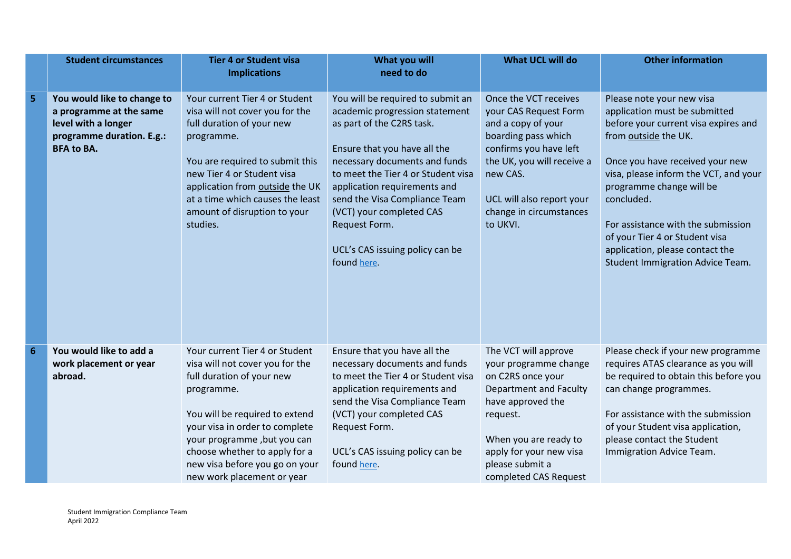|   | <b>Student circumstances</b>                                                                                                    | <b>Tier 4 or Student visa</b><br><b>Implications</b>                                                                                                                                                                                                                                                             | What you will<br>need to do                                                                                                                                                                                                                                                                                                                                             | <b>What UCL will do</b>                                                                                                                                                                                                              | <b>Other information</b>                                                                                                                                                                                                                                                                                                                                                                               |
|---|---------------------------------------------------------------------------------------------------------------------------------|------------------------------------------------------------------------------------------------------------------------------------------------------------------------------------------------------------------------------------------------------------------------------------------------------------------|-------------------------------------------------------------------------------------------------------------------------------------------------------------------------------------------------------------------------------------------------------------------------------------------------------------------------------------------------------------------------|--------------------------------------------------------------------------------------------------------------------------------------------------------------------------------------------------------------------------------------|--------------------------------------------------------------------------------------------------------------------------------------------------------------------------------------------------------------------------------------------------------------------------------------------------------------------------------------------------------------------------------------------------------|
| 5 | You would like to change to<br>a programme at the same<br>level with a longer<br>programme duration. E.g.:<br><b>BFA to BA.</b> | Your current Tier 4 or Student<br>visa will not cover you for the<br>full duration of your new<br>programme.<br>You are required to submit this<br>new Tier 4 or Student visa<br>application from outside the UK<br>at a time which causes the least<br>amount of disruption to your<br>studies.                 | You will be required to submit an<br>academic progression statement<br>as part of the C2RS task.<br>Ensure that you have all the<br>necessary documents and funds<br>to meet the Tier 4 or Student visa<br>application requirements and<br>send the Visa Compliance Team<br>(VCT) your completed CAS<br>Request Form.<br>UCL's CAS issuing policy can be<br>found here. | Once the VCT receives<br>your CAS Request Form<br>and a copy of your<br>boarding pass which<br>confirms you have left<br>the UK, you will receive a<br>new CAS.<br>UCL will also report your<br>change in circumstances<br>to UKVI.  | Please note your new visa<br>application must be submitted<br>before your current visa expires and<br>from outside the UK.<br>Once you have received your new<br>visa, please inform the VCT, and your<br>programme change will be<br>concluded.<br>For assistance with the submission<br>of your Tier 4 or Student visa<br>application, please contact the<br><b>Student Immigration Advice Team.</b> |
| 6 | You would like to add a<br>work placement or year<br>abroad.                                                                    | Your current Tier 4 or Student<br>visa will not cover you for the<br>full duration of your new<br>programme.<br>You will be required to extend<br>your visa in order to complete<br>your programme, but you can<br>choose whether to apply for a<br>new visa before you go on your<br>new work placement or year | Ensure that you have all the<br>necessary documents and funds<br>to meet the Tier 4 or Student visa<br>application requirements and<br>send the Visa Compliance Team<br>(VCT) your completed CAS<br>Request Form.<br>UCL's CAS issuing policy can be<br>found here.                                                                                                     | The VCT will approve<br>your programme change<br>on C2RS once your<br><b>Department and Faculty</b><br>have approved the<br>request.<br>When you are ready to<br>apply for your new visa<br>please submit a<br>completed CAS Request | Please check if your new programme<br>requires ATAS clearance as you will<br>be required to obtain this before you<br>can change programmes.<br>For assistance with the submission<br>of your Student visa application,<br>please contact the Student<br>Immigration Advice Team.                                                                                                                      |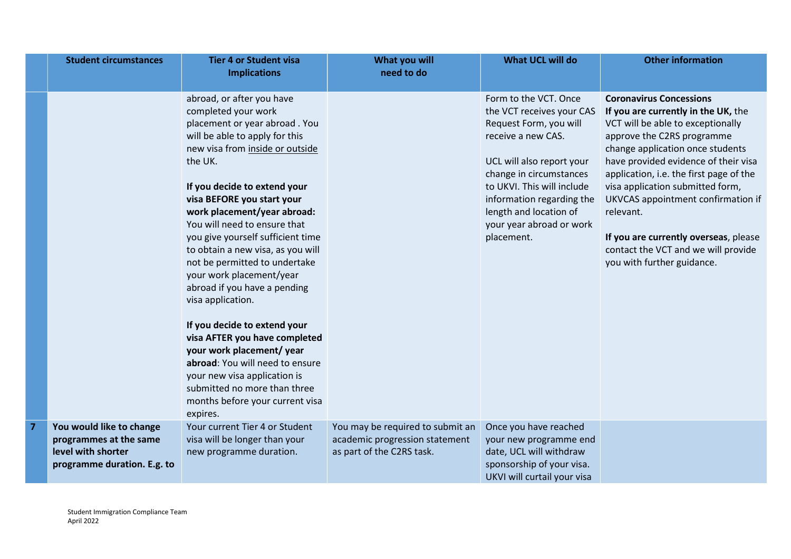|                | <b>Student circumstances</b>                                                                            | <b>Tier 4 or Student visa</b><br><b>Implications</b>                                                                                                                                                                                                                                                                                                                                                                                                                                                                                                                                                                                                                                                                                      | What you will<br>need to do                                                                     | <b>What UCL will do</b>                                                                                                                                                                                                                                                                   | <b>Other information</b>                                                                                                                                                                                                                                                                                                                                                                                                                                             |
|----------------|---------------------------------------------------------------------------------------------------------|-------------------------------------------------------------------------------------------------------------------------------------------------------------------------------------------------------------------------------------------------------------------------------------------------------------------------------------------------------------------------------------------------------------------------------------------------------------------------------------------------------------------------------------------------------------------------------------------------------------------------------------------------------------------------------------------------------------------------------------------|-------------------------------------------------------------------------------------------------|-------------------------------------------------------------------------------------------------------------------------------------------------------------------------------------------------------------------------------------------------------------------------------------------|----------------------------------------------------------------------------------------------------------------------------------------------------------------------------------------------------------------------------------------------------------------------------------------------------------------------------------------------------------------------------------------------------------------------------------------------------------------------|
|                |                                                                                                         | abroad, or after you have<br>completed your work<br>placement or year abroad. You<br>will be able to apply for this<br>new visa from inside or outside<br>the UK.<br>If you decide to extend your<br>visa BEFORE you start your<br>work placement/year abroad:<br>You will need to ensure that<br>you give yourself sufficient time<br>to obtain a new visa, as you will<br>not be permitted to undertake<br>your work placement/year<br>abroad if you have a pending<br>visa application.<br>If you decide to extend your<br>visa AFTER you have completed<br>your work placement/year<br>abroad: You will need to ensure<br>your new visa application is<br>submitted no more than three<br>months before your current visa<br>expires. |                                                                                                 | Form to the VCT. Once<br>the VCT receives your CAS<br>Request Form, you will<br>receive a new CAS.<br>UCL will also report your<br>change in circumstances<br>to UKVI. This will include<br>information regarding the<br>length and location of<br>your year abroad or work<br>placement. | <b>Coronavirus Concessions</b><br>If you are currently in the UK, the<br>VCT will be able to exceptionally<br>approve the C2RS programme<br>change application once students<br>have provided evidence of their visa<br>application, i.e. the first page of the<br>visa application submitted form,<br>UKVCAS appointment confirmation if<br>relevant.<br>If you are currently overseas, please<br>contact the VCT and we will provide<br>you with further guidance. |
| $\overline{7}$ | You would like to change<br>programmes at the same<br>level with shorter<br>programme duration. E.g. to | Your current Tier 4 or Student<br>visa will be longer than your<br>new programme duration.                                                                                                                                                                                                                                                                                                                                                                                                                                                                                                                                                                                                                                                | You may be required to submit an<br>academic progression statement<br>as part of the C2RS task. | Once you have reached<br>your new programme end<br>date, UCL will withdraw<br>sponsorship of your visa.<br>UKVI will curtail your visa                                                                                                                                                    |                                                                                                                                                                                                                                                                                                                                                                                                                                                                      |